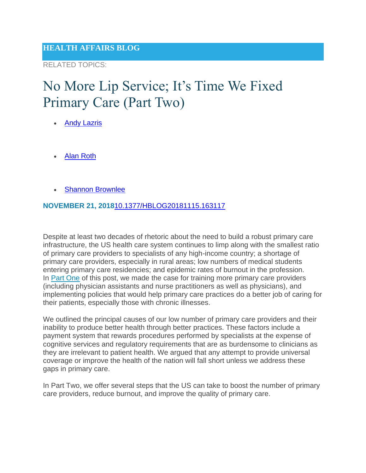RELATED TOPICS:

### No More Lip Service; It's Time We Fixed Primary Care (Part Two)

- [Andy Lazris](https://www.healthaffairs.org/do/10.1377/hauthor20181115.110464/full/)
- [Alan Roth](https://www.healthaffairs.org/do/10.1377/hauthor20181115.610292/full/)
- [Shannon Brownlee](https://www.healthaffairs.org/do/10.1377/hauthor20091106.723394/full/)

#### **NOVEMBER 21, 2018**[10.1377/HBLOG20181115.163117](https://www.healthaffairs.org/do/10.1377/hblog20181115.163117/full)

Despite at least two decades of rhetoric about the need to build a robust primary care infrastructure, the US health care system continues to limp along with the smallest ratio of primary care providers to specialists of any high-income country; a shortage of primary care providers, especially in rural areas; low numbers of medical students entering primary care residencies; and epidemic rates of burnout in the profession. In [Part One](https://www.healthaffairs.org/do/10.1377/hblog20181115.750150/full/) of this post, we made the case for training more primary care providers (including physician assistants and nurse practitioners as well as physicians), and implementing policies that would help primary care practices do a better job of caring for their patients, especially those with chronic illnesses.

We outlined the principal causes of our low number of primary care providers and their inability to produce better health through better practices. These factors include a payment system that rewards procedures performed by specialists at the expense of cognitive services and regulatory requirements that are as burdensome to clinicians as they are irrelevant to patient health. We argued that any attempt to provide universal coverage or improve the health of the nation will fall short unless we address these gaps in primary care.

In Part Two, we offer several steps that the US can take to boost the number of primary care providers, reduce burnout, and improve the quality of primary care.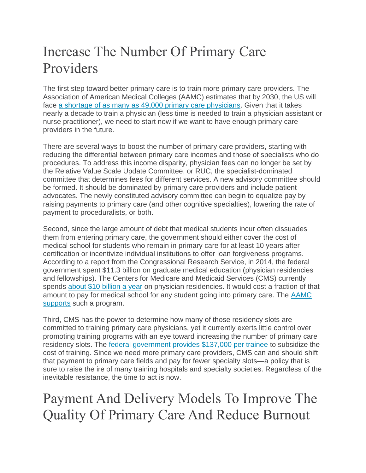## Increase The Number Of Primary Care Providers

The first step toward better primary care is to train more primary care providers. The Association of American Medical Colleges (AAMC) estimates that by 2030, the US will face [a shortage of as many as 49,000 primary care physicians.](https://aamc-black.global.ssl.fastly.net/production/media/filer_public/85/d7/85d7b689-f417-4ef0-97fb-ecc129836829/aamc_2018_workforce_projections_update_april_11_2018.pdf) Given that it takes nearly a decade to train a physician (less time is needed to train a physician assistant or nurse practitioner), we need to start now if we want to have enough primary care providers in the future.

There are several ways to boost the number of primary care providers, starting with reducing the differential between primary care incomes and those of specialists who do procedures. To address this income disparity, physician fees can no longer be set by the Relative Value Scale Update Committee, or RUC, the specialist-dominated committee that determines fees for different services. A new advisory committee should be formed. It should be dominated by primary care providers and include patient advocates. The newly constituted advisory committee can begin to equalize pay by raising payments to primary care (and other cognitive specialties), lowering the rate of payment to proceduralists, or both.

Second, since the large amount of debt that medical students incur often dissuades them from entering primary care, the government should either cover the cost of medical school for students who remain in primary care for at least 10 years after certification or incentivize individual institutions to offer loan forgiveness programs. According to a report from the Congressional Research Service, in 2014, the federal government spent \$11.3 billion on graduate medical education (physician residencies and fellowships). The Centers for Medicare and Medicaid Services (CMS) currently spends [about \\$10 billion a year](https://economix.blogs.nytimes.com/2013/12/17/how-medicare-subsidizes-doctor-training) on physician residencies. It would cost a fraction of that amount to pay for medical school for any student going into primary care. The [AAMC](https://news.aamc.org/for-the-media/article/gme-funding-doctor-shortage/)  [supports](https://news.aamc.org/for-the-media/article/gme-funding-doctor-shortage/) such a program.

Third, CMS has the power to determine how many of those residency slots are committed to training primary care physicians, yet it currently exerts little control over promoting training programs with an eye toward increasing the number of primary care residency slots. The [federal government provides](https://www.healthaffairs.org/doi/abs/10.1377/hlthaff.2013.0545) [\\$137,000 per trainee](https://fas.org/sgp/crs/misc/R44376.pdf) to subsidize the cost of training. Since we need more primary care providers, CMS can and should shift that payment to primary care fields and pay for fewer specialty slots—a policy that is sure to raise the ire of many training hospitals and specialty societies. Regardless of the inevitable resistance, the time to act is now.

Payment And Delivery Models To Improve The Quality Of Primary Care And Reduce Burnout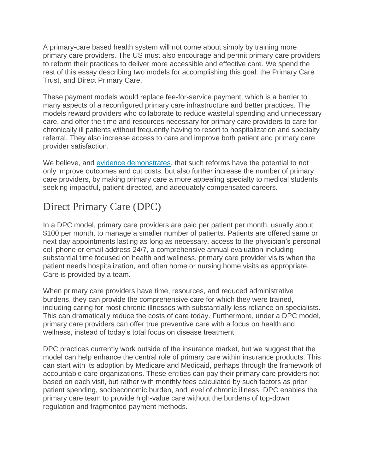A primary-care based health system will not come about simply by training more primary care providers. The US must also encourage and permit primary care providers to reform their practices to deliver more accessible and effective care. We spend the rest of this essay describing two models for accomplishing this goal: the Primary Care Trust, and Direct Primary Care.

These payment models would replace fee-for-service payment, which is a barrier to many aspects of a reconfigured primary care infrastructure and better practices. The models reward providers who collaborate to reduce wasteful spending and unnecessary care, and offer the time and resources necessary for primary care providers to care for chronically ill patients without frequently having to resort to hospitalization and specialty referral. They also increase access to care and improve both patient and primary care provider satisfaction.

We believe, and [evidence demonstrates,](https://www.ajmc.com/journals/ajac/2017/2017-vol5-n3/population-health-in-primary-care-cost-quality-and-experience-impact) that such reforms have the potential to not only improve outcomes and cut costs, but also further increase the number of primary care providers, by making primary care a more appealing specialty to medical students seeking impactful, patient-directed, and adequately compensated careers.

### Direct Primary Care (DPC)

In a DPC model, primary care providers are paid per patient per month, usually about \$100 per month, to manage a smaller number of patients. Patients are offered same or next day appointments lasting as long as necessary, access to the physician's personal cell phone or email address 24/7, a comprehensive annual evaluation including substantial time focused on health and wellness, primary care provider visits when the patient needs hospitalization, and often home or nursing home visits as appropriate. Care is provided by a team.

When primary care providers have time, resources, and reduced administrative burdens, they can provide the comprehensive care for which they were trained, including caring for most chronic illnesses with substantially less reliance on specialists. This can dramatically reduce the costs of care today. Furthermore, under a DPC model, primary care providers can offer true preventive care with a focus on health and wellness, instead of today's total focus on disease treatment.

DPC practices currently work outside of the insurance market, but we suggest that the model can help enhance the central role of primary care within insurance products. This can start with its adoption by Medicare and Medicaid, perhaps through the framework of accountable care organizations. These entities can pay their primary care providers not based on each visit, but rather with monthly fees calculated by such factors as prior patient spending, socioeconomic burden, and level of chronic illness. DPC enables the primary care team to provide high-value care without the burdens of top-down regulation and fragmented payment methods.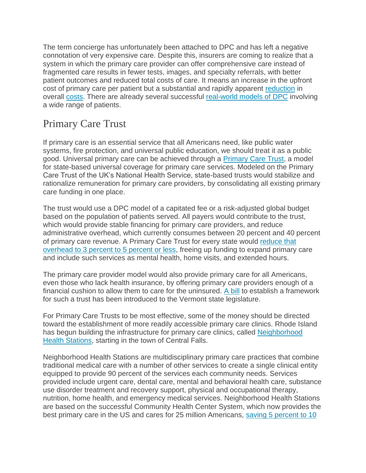The term concierge has unfortunately been attached to DPC and has left a negative connotation of very expensive care. Despite this, insurers are coming to realize that a system in which the primary care provider can offer comprehensive care instead of fragmented care results in fewer tests, images, and specialty referrals, with better patient outcomes and reduced total costs of care. It means an increase in the upfront cost of primary care per patient but a substantial and rapidly apparent [reduction](https://www.heritage.org/health-care-reform/report/direct-primary-care-innovative-alternative-conventional-health-insurance) in overall [costs.](http://www.jabfm.org/content/28/6/793.long) There are already several successful [real-world models of DPC](https://www.prnewswire.com/news-releases/new-primary-care-model-delivers-20-percent-lower-overall-healthcare-costs-increases-patient-satisfaction-and-delivers-better-care-300021116.html) involving a wide range of patients.

#### Primary Care Trust

If primary care is an essential service that all Americans need, like public water systems, fire protection, and universal public education, we should treat it as a public good. Universal primary care can be achieved through a [Primary Care Trust,](https://apha.confex.com/apha/142am/webprogram/Paper307768.html) a model for state-based universal coverage for primary care services. Modeled on the Primary Care Trust of the UK's National Health Service, state-based trusts would stabilize and rationalize remuneration for primary care providers, by consolidating all existing primary care funding in one place.

The trust would use a DPC model of a capitated fee or a risk-adjusted global budget based on the population of patients served. All payers would contribute to the trust, which would provide stable financing for primary care providers, and reduce administrative overhead, which currently consumes between 20 percent and 40 percent of primary care revenue. A Primary Care Trust for every state would [reduce that](https://www.graham-center.org/content/dam/rgc/documents/publications-reports/presentations/universal-primary-care.pdf)  [overhead to 3 percent to 5 percent or less,](https://www.graham-center.org/content/dam/rgc/documents/publications-reports/presentations/universal-primary-care.pdf) freeing up funding to expand primary care and include such services as mental health, home visits, and extended hours.

The primary care provider model would also provide primary care for all Americans, even those who lack health insurance, by offering primary care providers enough of a financial cushion to allow them to care for the uninsured. [A bill](https://legislature.vermont.gov/assets/Documents/2018/Docs/BILLS/S-0053/S-0053%20As%20Introduced.pdf) to establish a framework for such a trust has been introduced to the Vermont state legislature.

For Primary Care Trusts to be most effective, some of the money should be directed toward the establishment of more readily accessible primary care clinics. Rhode Island has begun building the infrastructure for primary care clinics, called [Neighborhood](http://www.rifuture.org/1st-neighborhood-health-station/)  [Health Stations,](http://www.rifuture.org/1st-neighborhood-health-station/) starting in the town of Central Falls.

Neighborhood Health Stations are multidisciplinary primary care practices that combine traditional medical care with a number of other services to create a single clinical entity equipped to provide 90 percent of the services each community needs. Services provided include urgent care, dental care, mental and behavioral health care, substance use disorder treatment and recovery support, physical and occupational therapy, nutrition, home health, and emergency medical services. Neighborhood Health Stations are based on the successful Community Health Center System, which now provides the best primary care in the US and cares for 25 million Americans, [saving 5 percent to 10](https://www.ncbi.nlm.nih.gov/pubmed/22156955)